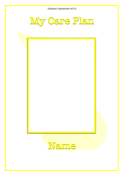Updated: September 2013



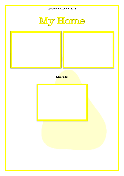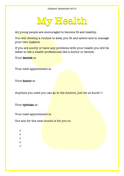

All young people are encouraged to become fit and healthy.

You will develop a routine to keep you fit and active and to manage your own hygiene.

If you are poorly or have any problems with your health you will be taken to see a health professional like a doctor or dentist.

Your dentist is:

Your next appointment is:

Your doctor is:

Anytime you need you can go to the doctors, just let us know!!!

Your optician is:

Your next appointment is:

Our aim for the next month is for you to:

✓ ✓ ✓ ✓ ✓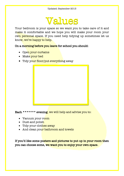#### Values

Your bedroom is your space so we want you to take care of it and make it comfortable and we hope you will make your room your own personal space. If you need help tidying up sometimes let us know, we're happy to help.

On a morning before you leave for school you should:

- Open your curtains
- Make your bed
- Tidy your floor/put everything away



Each \*\*\*\*\*\*\* evening, we will help and advise you to:

- Vacuum your room
- Dust and polish
- Tidy your clothes away
- And clean your bathroom and towels

If you'd like some posters and pictures to put up in your room then you can choose some, we want you to enjoy your own space**.**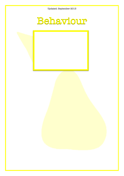Updated: September 2013



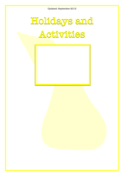## Holidays and Activities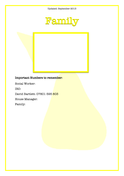

#### Important Numbers to remember:

Social Worker:

IRO:

David Bartlett: 07801 595 803

House Manager:

Family: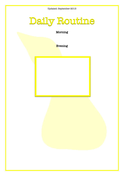### Daily Routine

Morning

Evening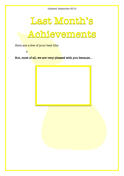## Last Month's Achievements

Here are a few of your best bits:

•

But, most of all, we are very pleased with you because...

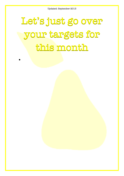# Let's just go over your targets for this month

•